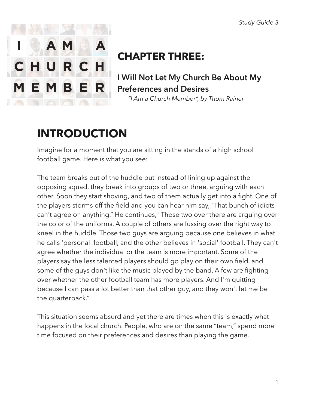

### **CHAPTER THREE:**

**I Will Not Let My Church Be About My Preferences and Desires** 

 *"I Am a Church Member", by Thom Rainer* 

# **INTRODUCTION**

Imagine for a moment that you are sitting in the stands of a high school football game. Here is what you see:

The team breaks out of the huddle but instead of lining up against the opposing squad, they break into groups of two or three, arguing with each other. Soon they start shoving, and two of them actually get into a fight. One of the players storms off the field and you can hear him say, "That bunch of idiots can't agree on anything." He continues, "Those two over there are arguing over the color of the uniforms. A couple of others are fussing over the right way to kneel in the huddle. Those two guys are arguing because one believes in what he calls 'personal' football, and the other believes in 'social' football. They can't agree whether the individual or the team is more important. Some of the players say the less talented players should go play on their own field, and some of the guys don't like the music played by the band. A few are fighting over whether the other football team has more players. And I'm quitting because I can pass a lot better than that other guy, and they won't let me be the quarterback."

This situation seems absurd and yet there are times when this is exactly what happens in the local church. People, who are on the same "team," spend more time focused on their preferences and desires than playing the game.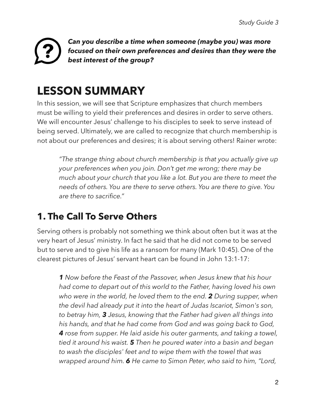#### *Can you describe a time when someone (maybe you) was more focused on their own preferences and desires than they were the best interest of the group?*

# **LESSON SUMMARY**

In this session, we will see that Scripture emphasizes that church members must be willing to yield their preferences and desires in order to serve others. We will encounter Jesus' challenge to his disciples to seek to serve instead of being served. Ultimately, we are called to recognize that church membership is not about our preferences and desires; it is about serving others! Rainer wrote:

*"The strange thing about church membership is that you actually give up your preferences when you join. Don't get me wrong; there may be much about your church that you like a lot. But you are there to meet the needs of others. You are there to serve others. You are there to give. You are there to sacrifice."* 

#### **1. The Call To Serve Others**

Serving others is probably not something we think about often but it was at the very heart of Jesus' ministry. In fact he said that he did not come to be served but to serve and to give his life as a ransom for many (Mark 10:45). One of the clearest pictures of Jesus' servant heart can be found in John 13:1-17:

*1 Now before the Feast of the Passover, when Jesus knew that his hour had come to depart out of this world to the Father, having loved his own who were in the world, he loved them to the end. 2 During supper, when the devil had already put it into the heart of Judas Iscariot, Simon's son, to betray him, 3 Jesus, knowing that the Father had given all things into his hands, and that he had come from God and was going back to God, 4 rose from supper. He laid aside his outer garments, and taking a towel, tied it around his waist. 5 Then he poured water into a basin and began to wash the disciples' feet and to wipe them with the towel that was wrapped around him. 6 He came to Simon Peter, who said to him, "Lord,*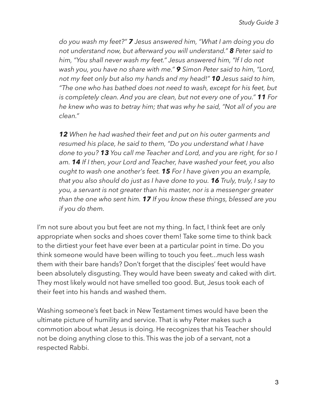*do you wash my feet?" 7 Jesus answered him, "What I am doing you do not understand now, but afterward you will understand." 8 Peter said to him, "You shall never wash my feet." Jesus answered him, "If I do not wash you, you have no share with me." 9 Simon Peter said to him, "Lord, not my feet only but also my hands and my head!" 10 Jesus said to him, "The one who has bathed does not need to wash, except for his feet, but is completely clean. And you are clean, but not every one of you." 11 For he knew who was to betray him; that was why he said, "Not all of you are clean."* 

*12 When he had washed their feet and put on his outer garments and resumed his place, he said to them, "Do you understand what I have done to you? 13 You call me Teacher and Lord, and you are right, for so I am. 14 If I then, your Lord and Teacher, have washed your feet, you also ought to wash one another's feet. 15 For I have given you an example, that you also should do just as I have done to you. 16 Truly, truly, I say to you, a servant is not greater than his master, nor is a messenger greater than the one who sent him. 17 If you know these things, blessed are you if you do them.* 

I'm not sure about you but feet are not my thing. In fact, I think feet are only appropriate when socks and shoes cover them! Take some time to think back to the dirtiest your feet have ever been at a particular point in time. Do you think someone would have been willing to touch you feet...much less wash them with their bare hands? Don't forget that the disciples' feet would have been absolutely disgusting. They would have been sweaty and caked with dirt. They most likely would not have smelled too good. But, Jesus took each of their feet into his hands and washed them.

Washing someone's feet back in New Testament times would have been the ultimate picture of humility and service. That is why Peter makes such a commotion about what Jesus is doing. He recognizes that his Teacher should not be doing anything close to this. This was the job of a servant, not a respected Rabbi.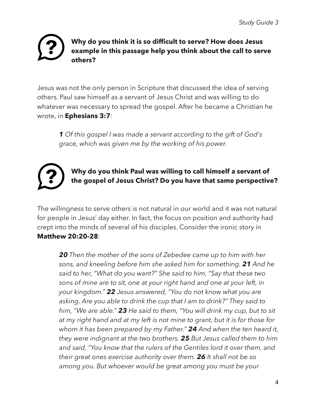#### **Why do you think it is so difficult to serve? How does Jesus example in this passage help you think about the call to serve others?**

Jesus was not the only person in Scripture that discussed the idea of serving others. Paul saw himself as a servant of Jesus Christ and was willing to do whatever was necessary to spread the gospel. After he became a Christian he wrote, in **Ephesians 3:7**:

*1 Of this gospel I was made a servant according to the gift of God's grace, which was given me by the working of his power.* 

### **Why do you think Paul was willing to call himself a servant of the gospel of Jesus Christ? Do you have that same perspective?**

The willingness to serve others is not natural in our world and it was not natural for people in Jesus' day either. In fact, the focus on position and authority had crept into the minds of several of his disciples. Consider the ironic story in **Matthew 20:20-28**:

*20 Then the mother of the sons of Zebedee came up to him with her sons, and kneeling before him she asked him for something. 21 And he said to her, "What do you want?" She said to him, "Say that these two sons of mine are to sit, one at your right hand and one at your left, in your kingdom." 22 Jesus answered, "You do not know what you are asking. Are you able to drink the cup that I am to drink?" They said to him, "We are able." 23 He said to them, "You will drink my cup, but to sit at my right hand and at my left is not mine to grant, but it is for those for whom it has been prepared by my Father." 24 And when the ten heard it, they were indignant at the two brothers. 25 But Jesus called them to him and said, "You know that the rulers of the Gentiles lord it over them, and their great ones exercise authority over them. 26 It shall not be so among you. But whoever would be great among you must be your*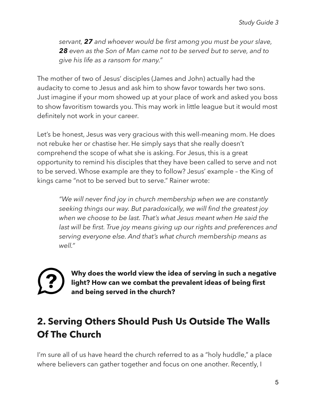*servant, 27 and whoever would be first among you must be your slave, 28 even as the Son of Man came not to be served but to serve, and to give his life as a ransom for many."* 

The mother of two of Jesus' disciples (James and John) actually had the audacity to come to Jesus and ask him to show favor towards her two sons. Just imagine if your mom showed up at your place of work and asked you boss to show favoritism towards you. This may work in little league but it would most definitely not work in your career.

Let's be honest, Jesus was very gracious with this well-meaning mom. He does not rebuke her or chastise her. He simply says that she really doesn't comprehend the scope of what she is asking. For Jesus, this is a great opportunity to remind his disciples that they have been called to serve and not to be served. Whose example are they to follow? Jesus' example – the King of kings came "not to be served but to serve." Rainer wrote:

*"We will never find joy in church membership when we are constantly seeking things our way. But paradoxically, we will find the greatest joy when we choose to be last. That's what Jesus meant when He said the last will be first. True joy means giving up our rights and preferences and serving everyone else. And that's what church membership means as well."* 



**Why does the world view the idea of serving in such a negative light? How can we combat the prevalent ideas of being first and being served in the church?** 

#### **2. Serving Others Should Push Us Outside The Walls Of The Church**

I'm sure all of us have heard the church referred to as a "holy huddle," a place where believers can gather together and focus on one another. Recently, I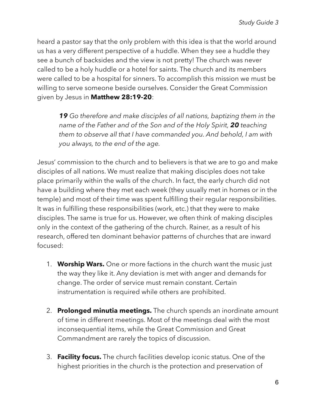heard a pastor say that the only problem with this idea is that the world around us has a very different perspective of a huddle. When they see a huddle they see a bunch of backsides and the view is not pretty! The church was never called to be a holy huddle or a hotel for saints. The church and its members were called to be a hospital for sinners. To accomplish this mission we must be willing to serve someone beside ourselves. Consider the Great Commission given by Jesus in **Matthew 28:19-20**:

*19 Go therefore and make disciples of all nations, baptizing them in the name of the Father and of the Son and of the Holy Spirit, 20 teaching them to observe all that I have commanded you. And behold, I am with you always, to the end of the age.* 

Jesus' commission to the church and to believers is that we are to go and make disciples of all nations. We must realize that making disciples does not take place primarily within the walls of the church. In fact, the early church did not have a building where they met each week (they usually met in homes or in the temple) and most of their time was spent fulfilling their regular responsibilities. It was in fulfilling these responsibilities (work, etc.) that they were to make disciples. The same is true for us. However, we often think of making disciples only in the context of the gathering of the church. Rainer, as a result of his research, offered ten dominant behavior patterns of churches that are inward focused:

- 1. **Worship Wars.** One or more factions in the church want the music just the way they like it. Any deviation is met with anger and demands for change. The order of service must remain constant. Certain instrumentation is required while others are prohibited.
- 2. **Prolonged minutia meetings.** The church spends an inordinate amount of time in different meetings. Most of the meetings deal with the most inconsequential items, while the Great Commission and Great Commandment are rarely the topics of discussion.
- 3. **Facility focus.** The church facilities develop iconic status. One of the highest priorities in the church is the protection and preservation of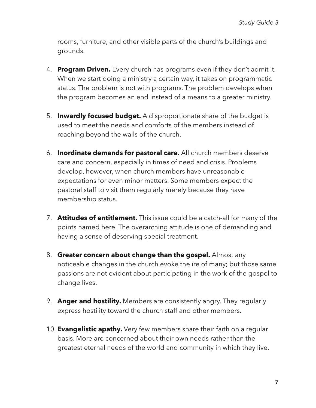rooms, furniture, and other visible parts of the church's buildings and grounds.

- 4. **Program Driven.** Every church has programs even if they don't admit it. When we start doing a ministry a certain way, it takes on programmatic status. The problem is not with programs. The problem develops when the program becomes an end instead of a means to a greater ministry.
- 5. **Inwardly focused budget.** A disproportionate share of the budget is used to meet the needs and comforts of the members instead of reaching beyond the walls of the church.
- 6. **Inordinate demands for pastoral care.** All church members deserve care and concern, especially in times of need and crisis. Problems develop, however, when church members have unreasonable expectations for even minor matters. Some members expect the pastoral staff to visit them regularly merely because they have membership status.
- 7. **Attitudes of entitlement.** This issue could be a catch-all for many of the points named here. The overarching attitude is one of demanding and having a sense of deserving special treatment.
- 8. **Greater concern about change than the gospel.** Almost any noticeable changes in the church evoke the ire of many; but those same passions are not evident about participating in the work of the gospel to change lives.
- 9. **Anger and hostility.** Members are consistently angry. They regularly express hostility toward the church staff and other members.
- 10. **Evangelistic apathy.** Very few members share their faith on a regular basis. More are concerned about their own needs rather than the greatest eternal needs of the world and community in which they live.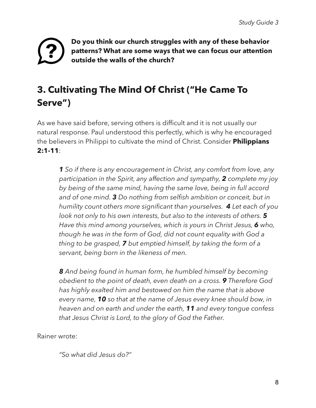#### **Do you think our church struggles with any of these behavior patterns? What are some ways that we can focus our attention outside the walls of the church?**

### **3. Cultivating The Mind Of Christ ("He Came To Serve")**

As we have said before, serving others is difficult and it is not usually our natural response. Paul understood this perfectly, which is why he encouraged the believers in Philippi to cultivate the mind of Christ. Consider **Philippians 2:1-11**:

*1 So if there is any encouragement in Christ, any comfort from love, any participation in the Spirit, any affection and sympathy, 2 complete my joy by being of the same mind, having the same love, being in full accord and of one mind. 3 Do nothing from selfish ambition or conceit, but in humility count others more significant than yourselves. 4 Let each of you look not only to his own interests, but also to the interests of others. 5 Have this mind among yourselves, which is yours in Christ Jesus, 6 who, though he was in the form of God, did not count equality with God a thing to be grasped, 7 but emptied himself, by taking the form of a servant, being born in the likeness of men.* 

*8 And being found in human form, he humbled himself by becoming obedient to the point of death, even death on a cross. 9 Therefore God has highly exalted him and bestowed on him the name that is above every name, 10 so that at the name of Jesus every knee should bow, in heaven and on earth and under the earth, 11 and every tongue confess that Jesus Christ is Lord, to the glory of God the Father.* 

Rainer wrote:

*"So what did Jesus do?"*